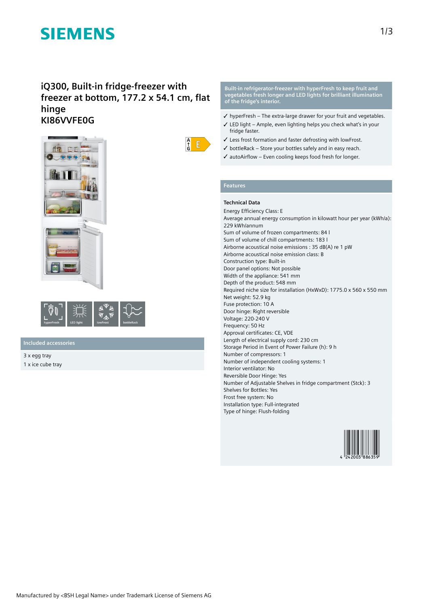# **SIEMENS**

## **iQ300, Built-in fridge-freezer with freezer at bottom, 177.2 x 54.1 cm, flat hinge KI86VVFE0G**





### **Included accessories**

3 x egg tray 1 x ice cube tray



- ✓ hyperFresh The extra-large drawer for your fruit and vegetables.
- ✓ LED light Ample, even lighting helps you check what's in your fridge faster.
- ✓ Less frost formation and faster defrosting with lowFrost.
- $\checkmark$  bottleRack Store your bottles safely and in easy reach.
- ✓ autoAirflow Even cooling keeps food fresh for longer.

### **Features**

 $\frac{A}{f}$  $E$ 

## **Technical Data**

Energy Efficiency Class: E Average annual energy consumption in kilowatt hour per year (kWh/a): 229 kWh/annum Sum of volume of frozen compartments: 84 l Sum of volume of chill compartments: 183 l Airborne acoustical noise emissions : 35 dB(A) re 1 pW Airborne acoustical noise emission class: B Construction type: Built-in Door panel options: Not possible Width of the appliance: 541 mm Depth of the product: 548 mm Required niche size for installation (HxWxD): 1775.0 x 560 x 550 mm Net weight: 52.9 kg Fuse protection: 10 A Door hinge: Right reversible Voltage: 220-240 V Frequency: 50 Hz Approval certificates: CE, VDE Length of electrical supply cord: 230 cm Storage Period in Event of Power Failure (h): 9 h Number of compressors: 1 Number of independent cooling systems: 1 Interior ventilator: No Reversible Door Hinge: Yes Number of Adjustable Shelves in fridge compartment (Stck): 3 Shelves for Bottles: Yes Frost free system: No Installation type: Full-integrated Type of hinge: Flush-folding

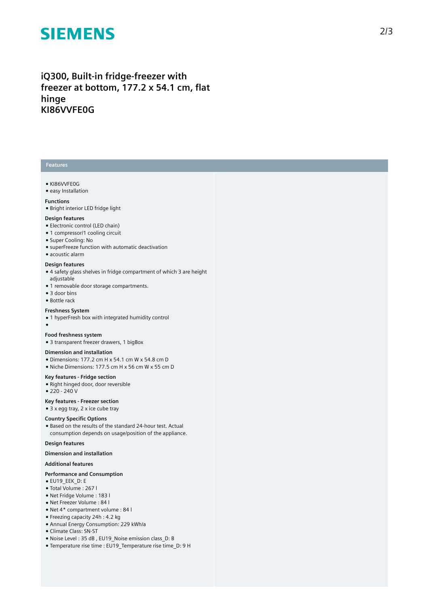# **SIEMENS**

## iQ300, Built-in fridge-freezer with freezer at bottom, 177.2 x 54.1 cm, flat **h i n g e KI86VVFE0G**

### **Features**

#### ● KI86VVFE0G

● easy Installation

#### **Functions**

 $\bullet$  Bright interior LED fridge light

#### Design features

- Electronic control (LED chain)
- 1 compressor/1 cooling circuit
- Super Cooling: No
- superFreeze function with automatic deactivation
- $\bullet$  acoustic alarm

#### Design features

- 4 safety glass shelves in fridge compartment of which 3 are height a d j u s t a ble
- 1 removable door storage compartments.
- 3 door bins
- Bottle rack

#### **Freshness Sy s t e m**

- 1 hyperFresh box with integrated humidity control
- $\bullet$

#### **Food freshness system**

● 3 transparent freezer drawers, 1 bigBox

#### **Dimension and installation**

- Dimensions: 177.2 cm H x 54.1 cm W x 54.8 cm D
- Niche Dimensions: 177.5 cm H x 56 cm W x 55 cm D

#### Key features - Fridge section

• Right hinged door, door reversible

● 220 - 240 V

#### **Key** features - Freezer section

 $\bullet$  3 x egg tray, 2 x ice cube tray

#### **Country Specific Options**

• Based on the results of the standard 24-hour test. Actual consumption depends on usage/position of the applianc e .

#### Design features

**Dimension and installation** 

#### **A d d i t i o n a l f e a t u r e s**

#### Performance and Consumption

- EU19\_EEK\_D: E
- Total Volume : 2 6 7 l
- Net Fridge Volume : 1 8 3 l
- Net Freezer Volume : 84 l
- Net 4\* compartment volume : 84 l
- Freezing capacity 24h : 4.2 kg
- Annual Energy Consumption: 229 kWh/a
- Climate Class: SN-ST
- Noise Level: 35 dB, EU19 Noise emission class D: B
- Temperature rise time : EU19\_Temperature rise time\_D: 9 H